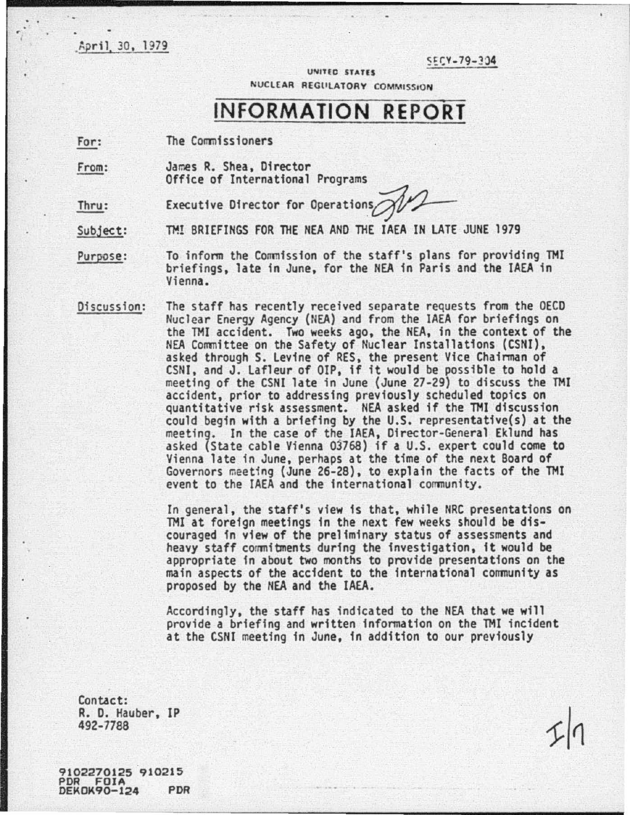April 30, 1979

r

 $555 - 79 - 334$ 

UNITED STATES NUCLEAR REGULATORY COMMISSION

## **INFORMATION REPORT**

For: The Commissioners

From: James R. Shea, Director Office of International Programs

Thru: Executive Director for Operations

Subject: TM! BRIEFINGS FOR THE NEA AND THE IAEA IN LATE JUNE 1979

Purpose: To inform the Commission of the staff's plans for providing TMI briefings, late in June, for the NEA in Paris and the IAEA in Vienna.

Discussion: The staff has recently received separate requests from the OECD Nuclear Energy Agency (NEA) and from the IAEA for briefings on the TMI accident. Two weeks ago, the NEA, in the context of the<br>NEA Committee on the Safety of Nuclear Installations (CSNI), asked through S. Levine of RES, the present Vice Chairman of CSNI, and J. Lafleur of OtP, if it would be possible to hold a meeting of the CSNI late in June (June 27·29) to discuss the TMI accident, prior to addressing previously scheduled topics on quantitative risk assessment. NEA asked if the THI discussion could begin with a briefing by the U.S. representative(s) at the meetin9. In the case of the IAEA, Director-General Eklund has asked {State cable Vienna 03768) if a U.S. expert could come to Vienna late in June, perhaps at the time of the next Board of Governors meeting (June 26·28), to explain the facts of the TMI event to the IAEA and the international community.

> In general, the staff's view is that, while NRC presentations on TMI at foreign meetings in the next few weeks should be dis· couraged in view of the preliminary status of assessments and heavy staff commitments during the investigation, it would be appropriate in about two months to provide presentations on the main aspects of the accident to the international community as proposed by the NEA and the IAEA.

Accordingly, the staff has indicated to the NEA that we will provide a briefing and written information on the TMI incident at the CSNI meeting in June, in addition to our previously

Contact: R. D. Hauber, IP 492·7788

9102270125 910215 DEKOK90-124 PDR